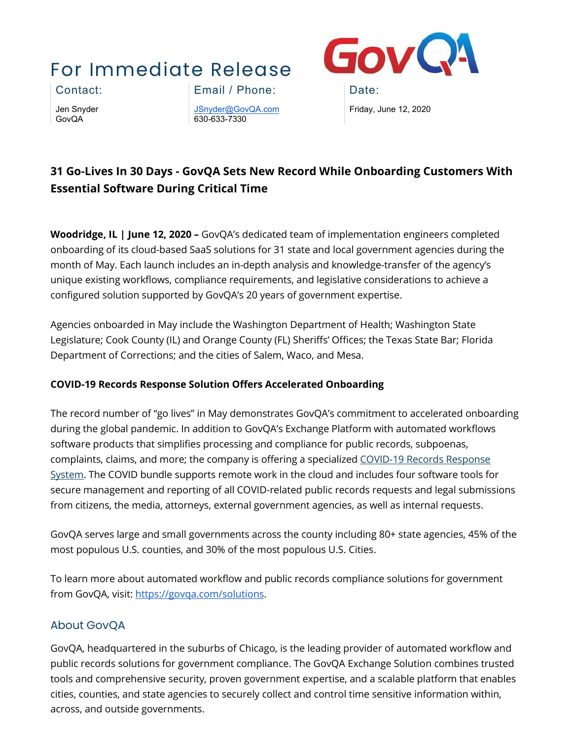# For Immediate Release



Jen Snyder GovQA

Contact: Email / Phone: Date:

[JSnyder@GovQA.com](mailto:JSnyder@GovQA.com) 630-633-7330

Friday, June 12, 2020

## **31 Go-Lives In 30 Days - GovQA Sets New Record While Onboarding Customers With Essential Software During Critical Time**

**Woodridge, IL | June 12, 2020 –** GovQA's dedicated team of implementation engineers completed onboarding of its cloud-based SaaS solutions for 31 state and local government agencies during the month of May. Each launch includes an in-depth analysis and knowledge-transfer of the agency's unique existing workflows, compliance requirements, and legislative considerations to achieve a configured solution supported by GovQA's 20 years of government expertise.

Agencies onboarded in May include the Washington Department of Health; Washington State Legislature; Cook County (IL) and Orange County (FL) Sheriffs' Offices; the Texas State Bar; Florida Department of Corrections; and the cities of Salem, Waco, and Mesa.

#### **COVID-19 Records Response Solution Offers Accelerated Onboarding**

The record number of "go lives" in May demonstrates GovQA's commitment to accelerated onboarding during the global pandemic. In addition to GovQA's Exchange Platform with automated workflows software products that simplifies processing and compliance for public records, subpoenas, complaints, claims, and more; the company is offering a specialize[d COVID-19 Records Response](https://govqa.com/solutions/covid-records-response/)  [System.](https://govqa.com/solutions/covid-records-response/) The COVID bundle supports remote work in the cloud and includes four software tools for secure management and reporting of all COVID-related public records requests and legal submissions from citizens, the media, attorneys, external government agencies, as well as internal requests.

GovQA serves large and small governments across the county including 80+ state agencies, 45% of the most populous U.S. counties, and 30% of the most populous U.S. Cities.

To learn more about automated workflow and public records compliance solutions for government from GovQA, visit: [https://govqa.com/solutions.](https://govqa.com/solutions)

### About GovQA

GovQA, headquartered in the suburbs of Chicago, is the leading provider of automated workflow and public records solutions for government compliance. The GovQA Exchange Solution combines trusted tools and comprehensive security, proven government expertise, and a scalable platform that enables cities, counties, and state agencies to securely collect and control time sensitive information within, across, and outside governments.